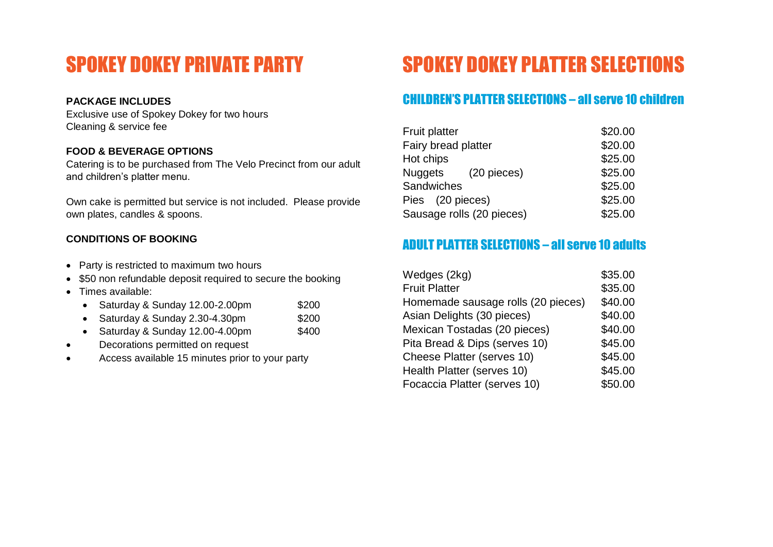# SPOKEY DOKEY PRIVATE PARTY

## **PACKAGE INCLUDES**

Exclusive use of Spokey Dokey for two hours Cleaning & service fee

## **FOOD & BEVERAGE OPTIONS**

Catering is to be purchased from The Velo Precinct from our adult and children's platter menu.

Own cake is permitted but service is not included. Please provide own plates, candles & spoons.

## **CONDITIONS OF BOOKING**

- Party is restricted to maximum two hours
- \$50 non refundable deposit required to secure the booking
- Times available:
	- Saturday & Sunday 12.00-2.00pm \$200
	- Saturday & Sunday 2.30-4.30pm \$200
	- Saturday & Sunday 12.00-4.00pm  $$400$
- Decorations permitted on request
- Access available 15 minutes prior to your party

# SPOKEY DOKEY PLATTER SELECTIONS

# CHILDREN'S PLATTER SELECTIONS – all serve 10 children

| <b>Fruit platter</b>      | \$20.00 |
|---------------------------|---------|
| Fairy bread platter       | \$20.00 |
| Hot chips                 | \$25.00 |
| Nuggets (20 pieces)       | \$25.00 |
| Sandwiches                | \$25.00 |
| Pies (20 pieces)          | \$25.00 |
| Sausage rolls (20 pieces) | \$25.00 |

# ADULT PLATTER SELECTIONS – all serve 10 adults

| Wedges (2kg)                       | \$35.00 |
|------------------------------------|---------|
| <b>Fruit Platter</b>               | \$35.00 |
| Homemade sausage rolls (20 pieces) | \$40.00 |
| Asian Delights (30 pieces)         | \$40.00 |
| Mexican Tostadas (20 pieces)       | \$40.00 |
| Pita Bread & Dips (serves 10)      | \$45.00 |
| Cheese Platter (serves 10)         | \$45.00 |
| Health Platter (serves 10)         | \$45.00 |
| Focaccia Platter (serves 10)       | \$50.00 |